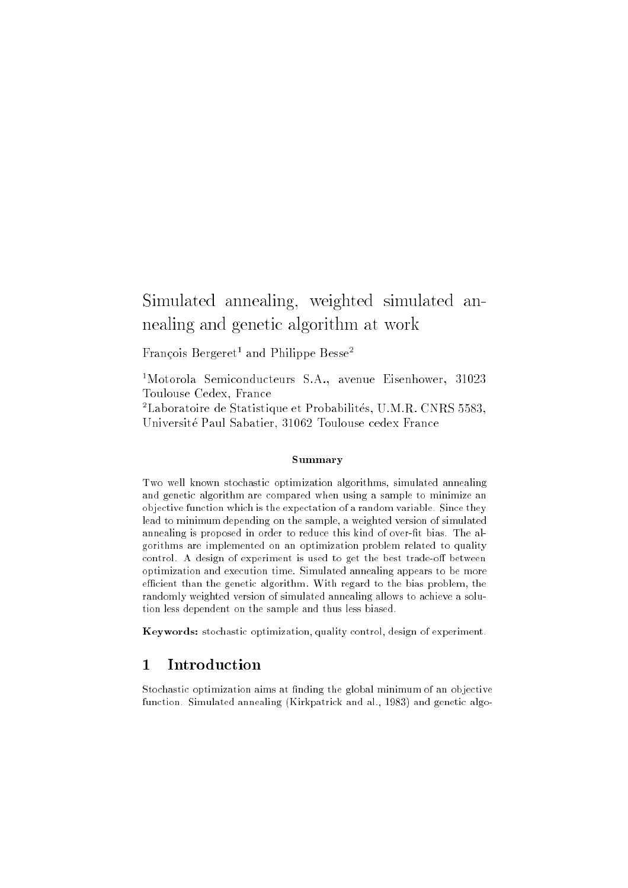# Simulated annealing, weighted simulated annealing and genetic algorithm at work

r rancois Dergeret- and Philippe Desse-

1Motorola Semiconducteurs S.A., avenue Eisenhower, 31023 Toulouse Cedex, France

<sup>2</sup> Laboratoire de Statistique et Probabilites, U.M.R. CNRS 5583, Universite Paul Sabatier, 31062 Toulouse cedex France

### Summary

Two well known stochastic optimization algorithms, simulated annealing and genetic algorithm are compared when using a sample to minimize an objective function which is the expectation of a random variable. Since they lead to minimum depending on the sample, a weighted version of simulated annealing is proposed in order to reduce this kind of over-fit bias. The algorithms are implemented on an optimization problem related to quality control. A design of experiment is used to get the best trade-off between optimization and execution time. Simulated annealing appears to be more efficient than the genetic algorithm. With regard to the bias problem, the randomly weighted version of simulated annealing allows to achieve a solution less dependent on the sample and thus less biased.

Keywords: stochastic optimization, quality control, design of experiment.

#### $\mathbf{1}$ **Introduction**

Stochastic optimization aims at finding the global minimum of an objective function. Simulated annealing (Kirkpatrick and al., 1983) and genetic algo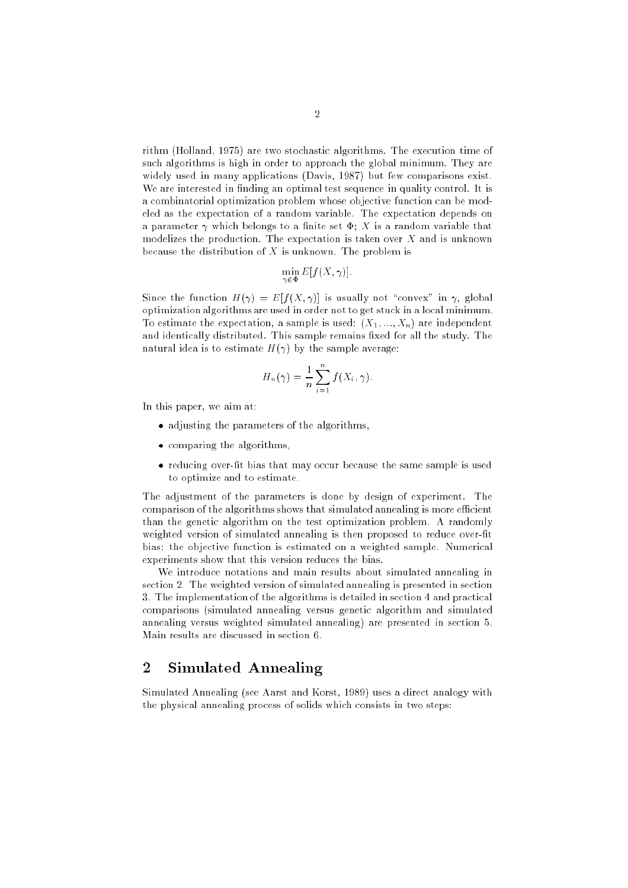rithm (Holland, 1975) are two stochastic algorithms. The execution time of such algorithms is high in order to approach the global minimum. They are widely used in many applications (Davis, 1987) but few comparisons exist. We are interested in finding an optimal test sequence in quality control. It is a combinatorial optimization problem whose objective function can be modeled as the expectation of a random variable. The expectation depends on a parameter  $\gamma$  which belongs to a finite set  $\Phi$ ; X is a random variable that modelizes the production. The expectation is taken over  $X$  and is unknown because the distribution of  $X$  is unknown. The problem is

$$
\min_{\gamma \in \Phi} E[f(X, \gamma)].
$$

2

Since the function  $H(\gamma) = E[f(X, \gamma)]$  is usually not "convex" in  $\gamma$ , global optimization algorithms are used in order not to get stuck in a local minimum. To estimate the expectation, a sample is used:  $(X_1, ..., X_n)$  are independent and identically distributed. This sample remains fixed for all the study. The natural idea is to estimate  $H(\gamma)$  by the sample average:

$$
H_n(\gamma) = \frac{1}{n} \sum_{i=1}^n f(X_i, \gamma).
$$

In this paper, we aim at:

- adjusting the parameters of the algorithms,
- comparing the algorithms,
- reducing over he side that may all secure because the sample is used to optimize and to estimate.

The adjustment of the parameters is done by design of experiment. The comparison of the algorithms shows that simulated annealing is more efficient than the genetic algorithm on the test optimization problem. A randomly weighted version of simulated annealing is then proposed to reduce over-fit bias: the objective function is estimated on a weighted sample. Numerical experiments show that this version reduces the bias.

We introduce notations and main results about simulated annealing in section 2. The weighted version of simulated annealing is presented in section 3. The implementation of the algorithms is detailed in section 4 and practical comparisons (simulated annealing versus genetic algorithm and simulated annealing versus weighted simulated annealing) are presented in section 5. Main results are discussed in section 6.

## 2 Simulated Annealing

Simulated Annealing (see Aarst and Korst, 1989) uses a direct analogy with the physical annealing process of solids which consists in two steps: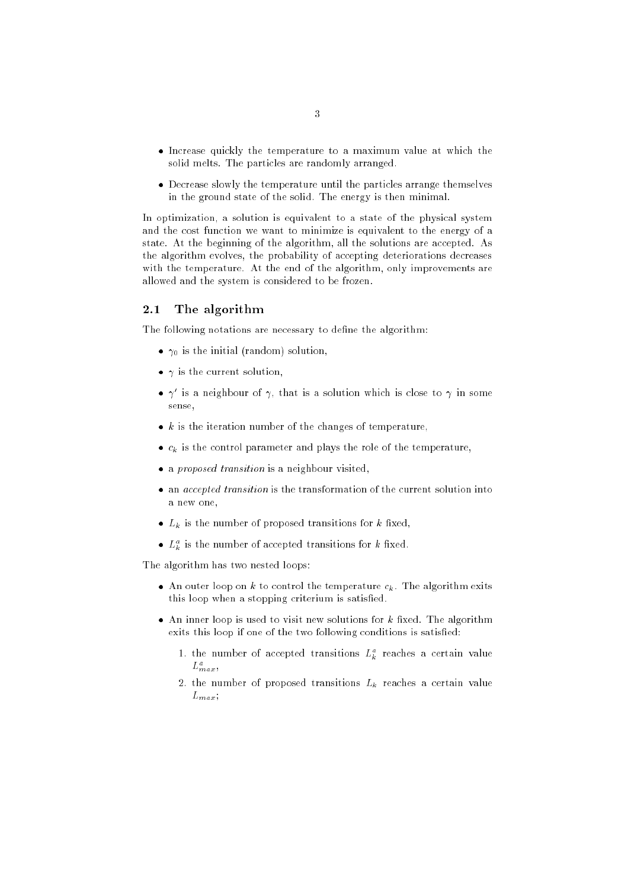- Increase quickly the temperature to a maximum value at which the solid melts. The particles are randomly arranged.
- Decrease slowly the temperature until the particles arrange themselves in the ground state of the solid. The energy is then minimal.

In optimization, a solution is equivalent to a state of the physical system and the cost function we want to minimize is equivalent to the energy of a state. At the beginning of the algorithm, all the solutions are accepted. As the algorithm evolves, the probability of accepting deteriorations decreases with the temperature. At the end of the algorithm, only improvements are allowed and the system is considered to be frozen.

#### $2.1$ The algorithm

The following notations are necessary to define the algorithm:

- 0 is the initial (random) solution,
- is the current solution,
- $\bullet$   $\gamma$  is a neighbour of  $\gamma$ , that is a solution which is close to  $\gamma$  in some sense,
- k is the iteration number of the changes of temperature,
- ck is the control parameter and plays the role of the temperature,
- a proposed transition is a neighbour visited,
- an accepted transition is the transition of the current solution into the current solution into a new one,
- $\mathbf{p}_k$  is the number of proposed transitions for  $\mathbf{p}_k$
- $\bullet$   $L_{\tilde{k}}$  is the number of accepted transitions for  $\kappa$  fixed.

The algorithm has two nested loops:

- $\sim$  1111 outer 100p on  $\kappa$  to control the temperature  $c_{\kappa}$ . The algorithm emiss this loop when a stopping criterium is satised.
- An inner loop is used to visit new solutions for k xed. The algorithm exits this loop if one of the two following conditions is satisfied:
	- 1. the number of accepted transitions  $L_k^2$  reaches a certain value  $L_{max}$
	- $\mathbf{1}$ . The number of proposed transitions  $\mathbf{N}$  $L_{max}$ ;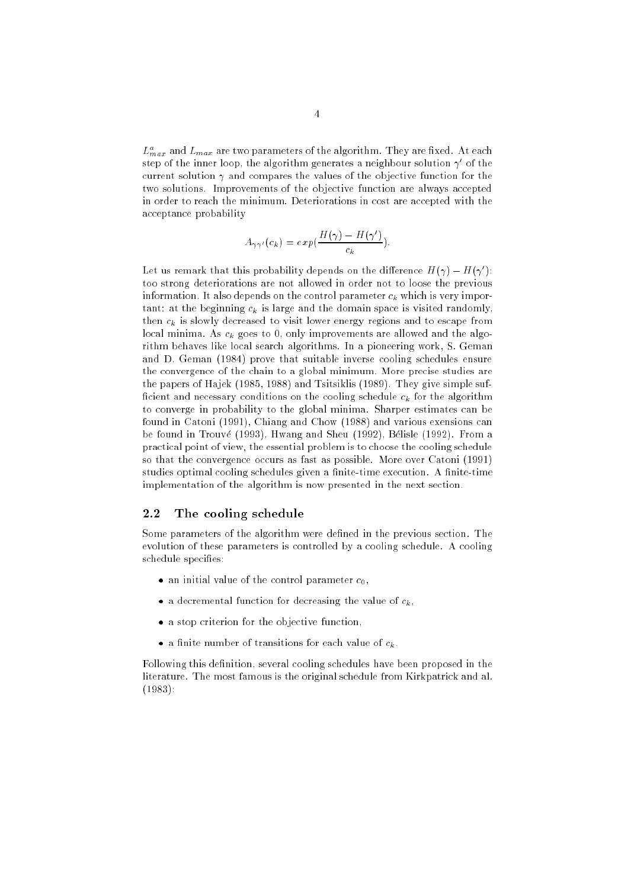$L_{max}^-$  and  $L_{max}$  are two parameters of the algorithm. They are fixed. At each step of the inner loop, the algorithm generates a neighbour solution  $\gamma$  of the current solution  $\gamma$  and compares the values of the objective function for the two solutions. Improvements of the objective function are always accepted in order to reach the minimum. Deteriorations in cost are accepted with the acceptance probability

$$
A_{\gamma\gamma'}(c_k) = exp(\frac{H(\gamma) - H(\gamma')}{c_k}).
$$

Let us remark that this probability depends on the difference  $H(\gamma) = H(\gamma)$  : too strong deteriorations are not allowed in order not to loose the previous information. It also depends on the control parameter ck which is very important: at the beginning ck is large and the domain space is visited randomly, then ck is slowly decreased to visit lower energy regions and to escape from local minima. As ck goes to 0, only improvements are allowed and the algorithm behaves like local search algorithms. In a pioneering work, S. Geman and D. Geman (1984) prove that suitable inverse cooling schedules ensure the convergence of the chain to a global minimum. More precise studies are the papers of Hajek (1985, 1988) and Tsitsiklis (1989). They give simple suf cient and necessary conditions on the cooling schedule ck for the algorithm to converge in probability to the global minima. Sharper estimates can be found in Catoni (1991), Chiang and Chow (1988) and various exensions can be found in Trouve (1993), Hwang and Sheu (1992), Belisle (1992). From a practical point of view, the essential problem is to choose the cooling schedule so that the convergence occurs as fast as possible. More over Catoni (1991) studies optimal cooling schedules given a finite-time execution. A finite-time implementation of the algorithm is now presented in the next section.

### 2.2 The cooling schedule

Some parameters of the algorithm were defined in the previous section. The evolution of these parameters is controlled by a cooling schedule. A cooling schedule specifies:

- an initial value of the control parameter c0,
- a decremental function for decreasing the value of ck,
- a stop criterion for the objective function,
- a nite number of transitions for each value of ck.

Following this definition, several cooling schedules have been proposed in the literature. The most famous is the original schedule from Kirkpatrick and al. (1983):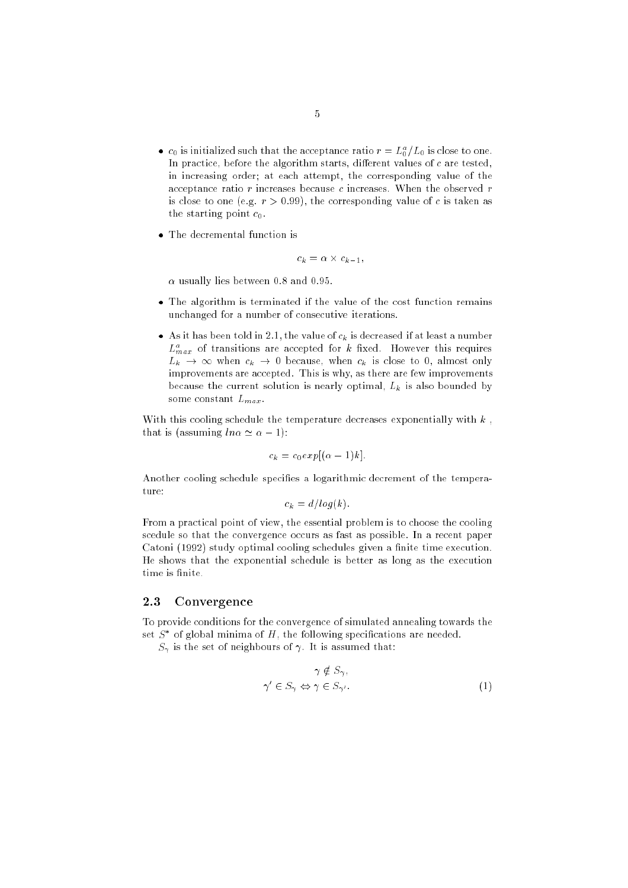- $\bullet$   $\,$   $c_0$  is initialized such that the acceptance ratio  $r = L_0^{\circ}/L_0$  is close to one. In practice, before the algorithm starts, different values of  $c$  are tested, in increasing order; at each attempt, the corresponding value of the acceptance ratio  $r$  increases because  $c$  increases. When the observed  $r$ is close to one (e.g.  $r > 0.99$ ), the corresponding value of c is taken as the starting point  $c_0$ .
- The decree is a function is defined in the decree in the decree in the decree in the decree in the decree in the set

$$
c_k = \alpha \times c_{k-1},
$$

 $\alpha$  usually lies between 0.8 and 0.95.

- The algorithm is terminated if the value of the cost function remains unchanged for a number of consecutive iterations.
- As it has been told in 2.1, the value of ck is decreased if at least a number  $L_{max}$  of transitions are accepted for k fixed. However this requires  $\mathbf{u}$  , is the channel ck is considered when channel to 0, almost only  $\mathbf{u}$ improvements are accepted. This is why, as there are few improvements because the current solution is nearly optimal, Lk is also bounded by some constant  $L_{max}$ .

With this cooling schedule the temperature decreases exponentially with  $k$ , that is (assuming  $ln \alpha \simeq \alpha - 1$ ):

$$
c_k = c_0 exp[(\alpha - 1)k].
$$

Another cooling schedule specifies a logarithmic decrement of the temperature:

$$
c_k = d/log(k).
$$

From a practical point of view, the essential problem is to choose the cooling scedule so that the convergence occurs as fast as possible. In a recent paper Catoni (1992) study optimal cooling schedules given a finite time execution. He shows that the exponential schedule is better as long as the execution time is finite.

### 2.3 Convergence

To provide conditions for the convergence of simulated annealing towards the set  $S$  -of global minima of  $H$  , the following specifications are needed.

 $S$  is the set of neighbours of neighbours of neighbours of neighbours of  $S$  is assumed that:

$$
\gamma \notin S_{\gamma},
$$
  
\n
$$
\gamma' \in S_{\gamma} \Leftrightarrow \gamma \in S_{\gamma'}.
$$
\n(1)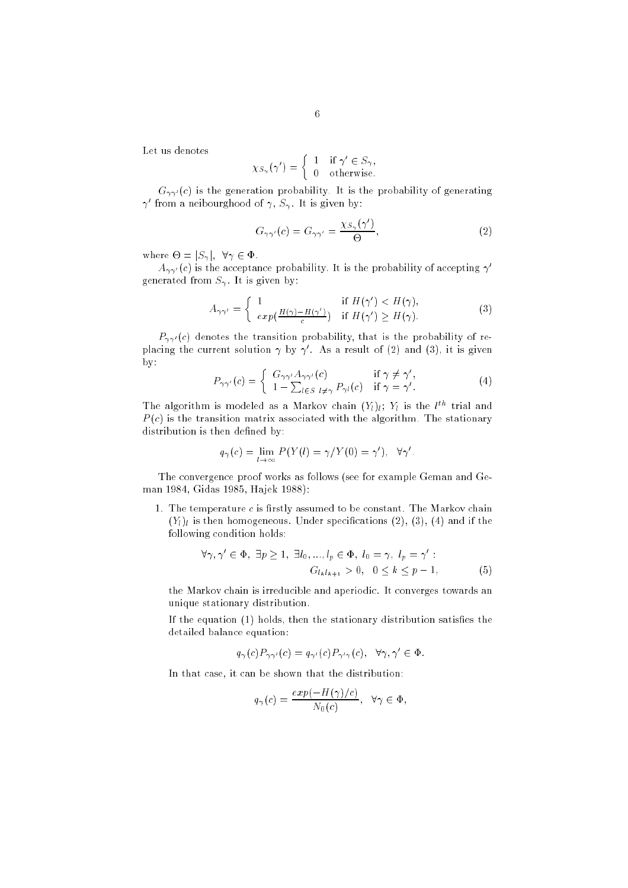Let us denotes

$$
\chi_{S_{\gamma}}(\gamma') = \begin{cases} 1 & \text{if } \gamma' \in S_{\gamma}, \\ 0 & \text{otherwise.} \end{cases}
$$

 $G_{\gamma\gamma'}(c)$  is the generation probability. It is the probability of generating  $\gamma$  from a neibourghood of  $\gamma$ ,  $S_{\gamma}$  . It is given by:

$$
G_{\gamma\gamma'}(c) = G_{\gamma\gamma'} = \frac{\chi_{S_{\gamma}}(\gamma')}{\Theta},\tag{2}
$$

where  $\sim$  joint  $\sim$   $\sim$   $\sim$ 

 $A_{\gamma\gamma'}(c)$  is the acceptance probability. It is the probability of accepting  $\gamma'$  $\Box$  . It is given by:

$$
A_{\gamma\gamma'} = \begin{cases} 1 & \text{if } H(\gamma') < H(\gamma), \\ exp(\frac{H(\gamma) - H(\gamma')}{c}) & \text{if } H(\gamma') \ge H(\gamma). \end{cases}
$$
(3)

 $P_{\gamma\gamma'}(c)$  denotes the transition probability, that is the probability of replacing the current solution  $\gamma$  by  $\gamma$ . As a result of (2) and (3), it is given by:

$$
P_{\gamma\gamma'}(c) = \begin{cases} G_{\gamma\gamma'}A_{\gamma\gamma'}(c) & \text{if } \gamma \neq \gamma',\\ 1 - \sum_{l \in S} \sum_{l \neq \gamma} P_{\gamma l}(c) & \text{if } \gamma = \gamma'. \end{cases}
$$
(4)

The algorithm is modeled as a Markov chain  $(Y_l)_{l}$ ;  $Y_l$  is the  $l^{\text{th}}$  trial and  $P(c)$  is the transition matrix associated with the algorithm. The stationary distribution is then defined by:

$$
q_{\gamma}(c) = \lim_{l \to \infty} P(Y(l) = \gamma / Y(0) = \gamma'), \quad \forall \gamma'
$$

The convergence proof works as follows (see for example Geman and Geman 1984, Gidas 1985, Hajek 1988):

1. The temperature  $c$  is firstly assumed to be constant. The Markov chain (Yl )l is then homogeneous. Under specications (2), (3), (4) and if the following condition holds:

$$
\forall \gamma, \gamma' \in \Phi, \exists p \ge 1, \exists l_0, ..., l_p \in \Phi, l_0 = \gamma, l_p = \gamma':G_{l_k l_{k+1}} > 0, 0 \le k \le p - 1,
$$
 (5)

the Markov chain is irreducible and aperiodic. It converges towards an unique stationary distribution.

If the equation  $(1)$  holds, then the stationary distribution satisfies the detailed balance equation:

$$
q_{\gamma}(c)P_{\gamma\gamma'}(c) = q_{\gamma'}(c)P_{\gamma'\gamma}(c), \quad \forall \gamma, \gamma' \in \Phi.
$$

In that case, it can be shown that the distribution:

$$
q_{\gamma}(c) = \frac{exp(-H(\gamma)/c)}{N_0(c)}, \quad \forall \gamma \in \Phi,
$$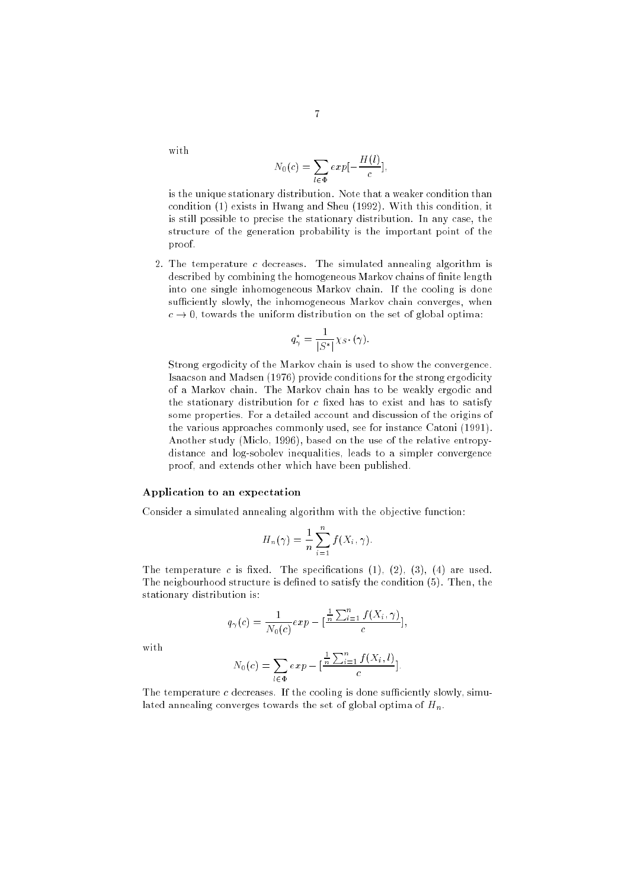with

$$
N_0(c) = \sum_{l \in \Phi} exp[-\frac{H(l)}{c}],
$$

is the unique stationary distribution. Note that a weaker condition than condition (1) exists in Hwang and Sheu (1992). With this condition, it is still possible to precise the stationary distribution. In any case, the structure of the generation probability is the important point of the proof.

2. The temperature c decreases. The simulated annealing algorithm is described by combining the homogeneous Markov chains of finite length into one single inhomogeneous Markov chain. If the cooling is done sufficiently slowly, the inhomogeneous Markov chain converges, when  $c \rightarrow 0$ , towards the uniform distribution on the set of global optima:

$$
q_{\gamma}^* = \frac{1}{|S^*|} \chi_{S^*}(\gamma).
$$

Strong ergodicity of the Markov chain is used to show the convergence. Isaacson and Madsen (1976) provide conditions for the strong ergodicity of a Markov chain. The Markov chain has to be weakly ergodic and the stationary distribution for  $c$  fixed has to exist and has to satisfy some properties. For a detailed account and discussion of the origins of the various approaches commonly used, see for instance Catoni (1991). Another study (Miclo, 1996), based on the use of the relative entropydistance and log-sobolev inequalities, leads to a simpler convergence proof, and extends other which have been published.

#### Application to an expectation

Consider a simulated annealing algorithm with the objective function:

$$
H_n(\gamma) = \frac{1}{n} \sum_{i=1}^n f(X_i, \gamma).
$$

The temperature c is fixed. The specifications  $(1)$ ,  $(2)$ ,  $(3)$ ,  $(4)$  are used. The neigbourhood structure is defined to satisfy the condition  $(5)$ . Then, the stationary distribution is:

$$
q_{\gamma}(c) = \frac{1}{N_0(c)} exp - \left[\frac{\frac{1}{n}\sum_{i=1}^n f(X_i, \gamma)}{c}\right],
$$

with

$$
N_0(c) = \sum_{l \in \Phi} exp - \left[ \frac{\frac{1}{n} \sum_{i=1}^n f(X_i, l)}{c} \right].
$$

The temperature  $c$  decreases. If the cooling is done sufficiently slowly, simulated annealing converges towards the set of global optima of  $H_n$ .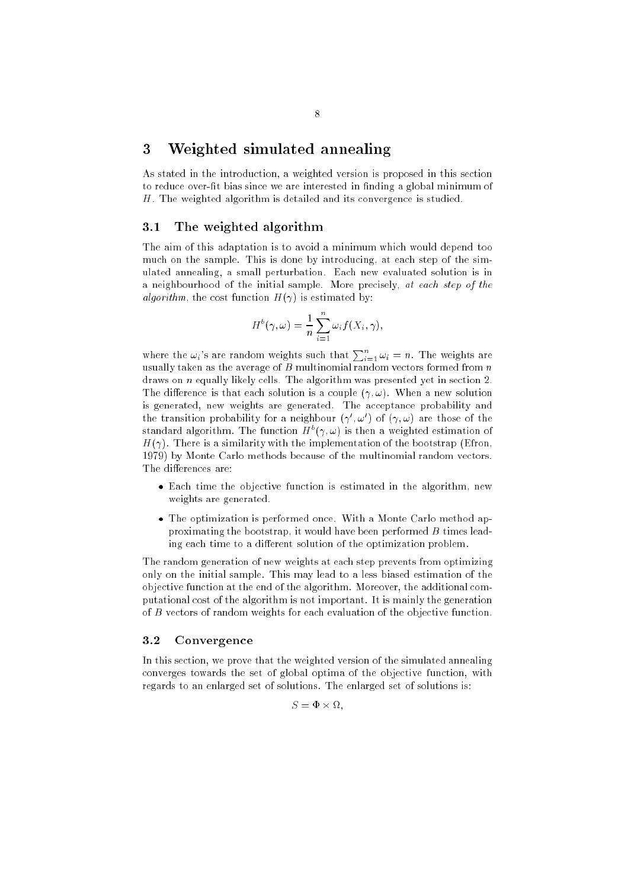## 3 Weighted simulated annealing

As stated in the introduction, a weighted version is proposed in this section to reduce over-fit bias since we are interested in finding a global minimum of H. The weighted algorithm is detailed and its convergence is studied.

### 3.1 The weighted algorithm

The aim of this adaptation is to avoid a minimum which would depend too much on the sample. This is done by introducing, at each step of the simulated annealing, a small perturbation. Each new evaluated solution is in a neighbourhood of the initial sample. More precisely, at each step of the algorithm, the cost function  $H(\gamma)$  is estimated by:

$$
H^{b}(\gamma,\omega) = \frac{1}{n} \sum_{i=1}^{n} \omega_{i} f(X_{i},\gamma),
$$

where the  $\omega_i$ 's are random weights such that  $\sum_{i=1}^n \omega_i = n$ . The weights are usually taken as the average of  $B$  multinomial random vectors formed from  $n$ draws on n equally likely cells. The algorithm was presented yet in section 2. The difference is that each solution is a couple  $(\gamma,\omega)$ . When a new solution is generated, new weights are generated. The acceptance probability and the transition probability for a neighbour  $(\gamma, \omega)$  of  $(\gamma, \omega)$  are those of the standard algorithm. The function  $H^+(\gamma,\omega)$  is then a weighted estimation of  $H(\gamma)$ . There is a similarity with the implementation of the bootstrap (Efron, 1979) by Monte Carlo methods because of the multinomial random vectors. The differences are:

- Each time the objective function is estimated in the algorithm, new weights are generated.
- The optimization is performed once. With a Monte Carlo method approximating the bootstrap, it would have been performed  $B$  times leading each time to a different solution of the optimization problem.

The random generation of new weights at each step prevents from optimizing only on the initial sample. This may lead to a less biased estimation of the objective function at the end of the algorithm. Moreover, the additional computational cost of the algorithm is not important. It is mainly the generation of B vectors of random weights for each evaluation of the objective function.

### 3.2 Convergence

In this section, we prove that the weighted version of the simulated annealing converges towards the set of global optima of the objective function, with regards to an enlarged set of solutions. The enlarged set of solutions is:

S = - ;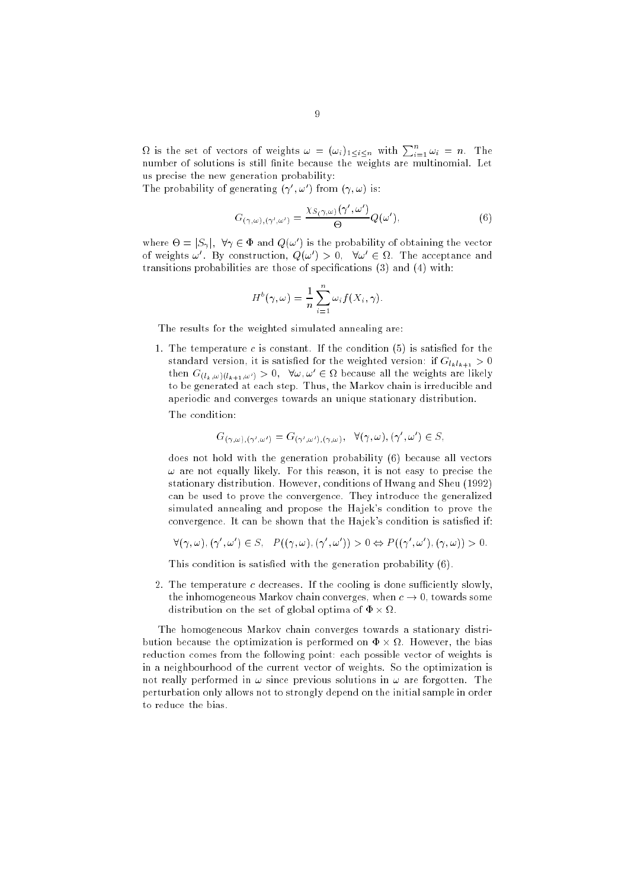$\Omega$  is the set of vectors of weights  $\omega = (\omega_i)_{1 \leq i \leq n}$  with  $\sum_{i=1}^n \omega_i = n$ . The number of solutions is still finite because the weights are multinomial. Let us precise the new generation probability:

The probability of generating  $(\gamma, \omega)$  from  $(\gamma, \omega)$  is:

$$
G_{(\gamma,\omega),(\gamma',\omega')} = \frac{\chi_{S(\gamma,\omega)}(\gamma',\omega')}{\Theta} Q(\omega'),\tag{6}
$$

where  $\Theta = |\mathcal{S}_\gamma|$ ,  $\gamma \in \Psi$  and  $Q(\omega)$  is the probability of obtaining the vector of weights  $\omega$  . By construction,  $Q(\omega) > 0$ ,  $\nabla \omega \in \Omega$ . The acceptance and transitions probabilities are those of specications (3) and (4) with:

$$
H^{b}(\gamma,\omega) = \frac{1}{n} \sum_{i=1}^{n} \omega_{i} f(X_{i},\gamma).
$$

The results for the weighted simulated annealing are:

1. The temperature  $c$  is constant. If the condition  $(5)$  is satisfied for the standard version, it is satisfied for the weighted version: if  $G_{l_k l_{k+1}} > 0$ then  $G_{(l_k,\omega)(l_{k+1},\omega')} > 0$ ,  $\nabla \omega, \omega' \in \Omega$  because all the weights are likely to be generated at each step. Thus, the Markov chain is irreducible and aperiodic and converges towards an unique stationary distribution.

The condition:

$$
G_{(\gamma,\omega),(\gamma',\omega')}=G_{(\gamma',\omega'),(\gamma,\omega)},\ \ \forall (\gamma,\omega),(\gamma',\omega')\in S,
$$

does not hold with the generation probability (6) because all vectors  $\omega$  are not equally likely. For this reason, it is not easy to precise the stationary distribution. However, conditions of Hwang and Sheu (1992) can be used to prove the convergence. They introduce the generalized simulated annealing and propose the Hajek's condition to prove the convergence. It can be shown that the Hajek's condition is satisfied if:

$$
\forall (\gamma, \omega), (\gamma', \omega') \in S, \quad P((\gamma, \omega), (\gamma', \omega')) > 0 \Leftrightarrow P((\gamma', \omega'), (\gamma, \omega)) > 0.
$$

This condition is satisfied with the generation probability (6).

2. The temperature  $c$  decreases. If the cooling is done sufficiently slowly, the inhomogeneous Markov chain converges, when  $c \to 0$ , towards some distribution on the set of global optima of - :

The homogeneous Markov chain converges towards a stationary distribution because the optimization is performed on - . However, the bias reduction comes from the following point: each possible vector of weights is in a neighbourhood of the current vector of weights. So the optimization is not really performed in  $\omega$  since previous solutions in  $\omega$  are forgotten. The perturbation only allows not to strongly depend on the initial sample in order to reduce the bias.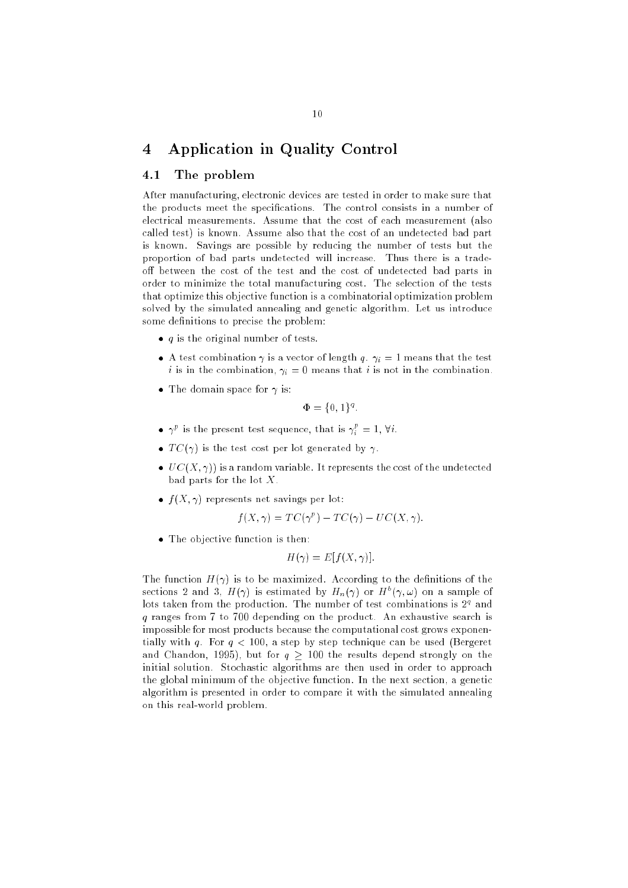## 4 Application in Quality Control

#### The problem  $4.1$

After manufacturing, electronic devices are tested in order to make sure that the products meet the specications. The control consists in a number of electrical measurements. Assume that the cost of each measurement (also called test) is known. Assume also that the cost of an undetected bad part is known. Savings are possible by reducing the number of tests but the proportion of bad parts undetected will increase. Thus there is a tradeoff between the cost of the test and the cost of undetected bad parts in order to minimize the total manufacturing cost. The selection of the tests that optimize this objective function is a combinatorial optimization problem solved by the simulated annealing and genetic algorithm. Let us introduce some definitions to precise the problem:

- q is the original number of tests.
- $\cdot$  is the compilation  $\cdot$  is a vector of length  $\cdot$   $\cdot$   $\cdot$  is interfered that the test i is in the combination, i = 0 means that <sup>i</sup> is not in the combination.
- The domain space for is:

$$
\Phi = \{0, 1\}^q.
$$

- $\bullet \ \ \gamma^{\scriptscriptstyle\mu}$  is the present test sequence, that is  $\gamma^{\scriptscriptstyle\mu}_i\,=\,1,\, \forall\,i.$
- T C(
) is the test cost per lot generated by .
- UC(X) is a representation of the understanding the understanding the undetected the undetected the undetected bad parts for the lot X.
- f (X; 
) represents net savings per lot:

$$
f(X,\gamma) = TC(\gamma^p) - TC(\gamma) - UC(X,\gamma).
$$

The objective function is then:

$$
H(\gamma) = E[f(X, \gamma)].
$$

The function  $H(\gamma)$  is to be maximized. According to the definitions of the sections 2 and 3,  $H(\gamma)$  is estimated by  $H_n(\gamma)$  or  $H^+(\gamma,\omega)$  on a sample of fors taken from the production. The number of test combinations is  $Z^\tau$  and q ranges from 7 to 700 depending on the product. An exhaustive search is impossible for most products because the computational cost grows exponentially with q. For  $q < 100$ , a step by step technique can be used (Bergeret and Chandon, 1995), but for  $q \ge 100$  the results depend strongly on the initial solution. Stochastic algorithms are then used in order to approach the global minimum of the objective function. In the next section, a genetic algorithm is presented in order to compare it with the simulated annealing on this real-world problem.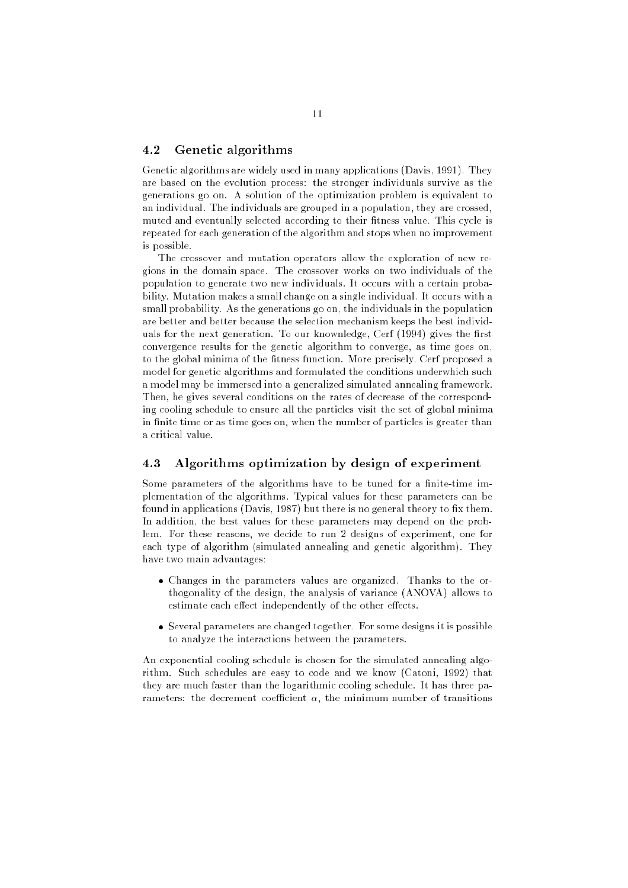#### 4.2 Genetic algorithms

Genetic algorithms are widely used in many applications (Davis, 1991). They are based on the evolution process: the stronger individuals survive as the generations go on. A solution of the optimization problem is equivalent to an individual. The individuals are grouped in a population, they are crossed, muted and eventually selected according to their fitness value. This cycle is repeated for each generation of the algorithm and stops when no improvement is possible.

The crossover and mutation operators allow the exploration of new regions in the domain space. The crossover works on two individuals of the population to generate two new individuals. It occurs with a certain probability. Mutation makes a small change on a single individual. It occurs with a small probability. As the generations go on, the individuals in the population are better and better because the selection mechanism keeps the best individuals for the next generation. To our knownledge, Cerf (1994) gives the first convergence results for the genetic algorithm to converge, as time goes on, to the global minima of the fitness function. More precisely, Cerf proposed a model for genetic algorithms and formulated the conditions underwhich such a model may be immersed into a generalized simulated annealing framework. Then, he gives several conditions on the rates of decrease of the corresponding cooling schedule to ensure all the particles visit the set of global minima in finite time or as time goes on, when the number of particles is greater than

#### Algorithms optimization by design of experiment 4.3

Some parameters of the algorithms have to be tuned for a finite-time implementation of the algorithms. Typical values for these parameters can be found in applications (Davis, 1987) but there is no general theory to fix them. In addition, the best values for these parameters may depend on the problem. For these reasons, we decide to run 2 designs of experiment, one for each type of algorithm (simulated annealing and genetic algorithm). They have two main advantages:

- Changes in the parameters values are organized. Thanks to the orthogonality of the design, the analysis of variance (ANOVA) allows to estimate each effect independently of the other effects.
- Several parameters are changed together. For some designs it is possible to analyze the interactions between the parameters.

An exponential cooling schedule is chosen for the simulated annealing algorithm. Such schedules are easy to code and we know (Catoni, 1992) that they are much faster than the logarithmic cooling schedule. It has three parameters: the decrement coefficient  $\alpha$ , the minimum number of transitions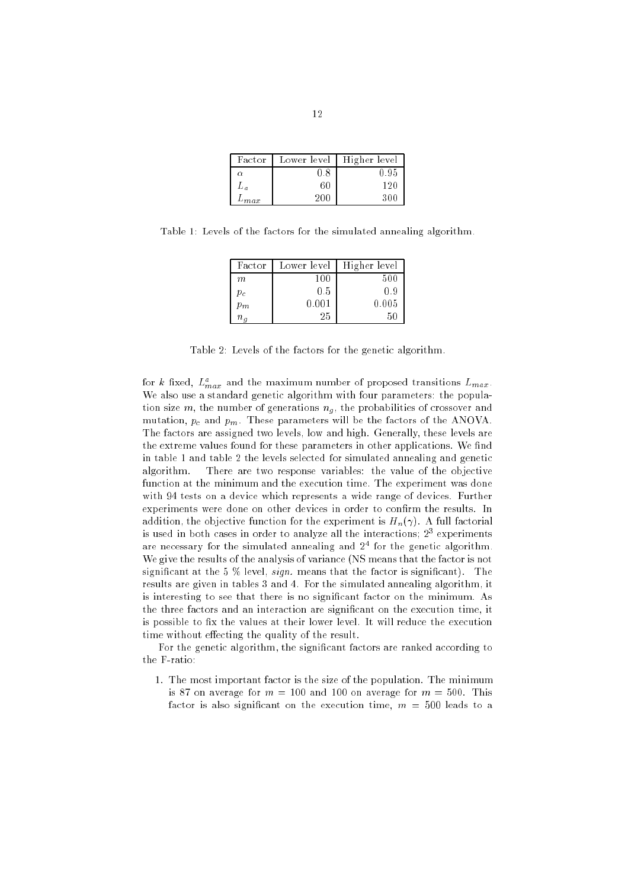| Factor      | Lower level | Higher level |
|-------------|-------------|--------------|
| α           | 0.8         | 0.95         |
| Рα          | 60          | 120          |
| $\nu_{max}$ |             |              |

Table 1: Levels of the factors for the simulated annealing algorithm.

| Factor       | Lower level | Higher level |
|--------------|-------------|--------------|
| m            | 100         | 500          |
| $p_c$        | 0.5         | 0.9          |
| $p_m$        | 0.001       | 0.005        |
| $n_{\alpha}$ | 25          | 50           |

Table 2: Levels of the factors for the genetic algorithm.

for  $\kappa$  fixed,  $L_{max}^r$  and the maximum number of proposed transitions  $L_{max}$ . We also use a standard genetic algorithm with four parameters: the population size m, the number of generations ng , the probabilities of crossover and probabilities of crossover and  $\alpha$ mutation, pc and pm. These parameters will be the factors of the ANOVA. The factors are assigned two levels, low and high. Generally, these levels are the extreme values found for these parameters in other applications. We find in table 1 and table 2 the levels selected for simulated annealing and genetic algorithm. There are two response variables: the value of the objective function at the minimum and the execution time. The experiment was done with 94 tests on a device which represents a wide range of devices. Further experiments were done on other devices in order to confirm the results. In addition, the objective function for the experiment is  $H_n(\gamma)$ . A full factorial is used in both cases in order to analyze all the interactions; 23 experiments are necessary for the simulated annealing and 24 for the genetic algorithm. We give the results of the analysis of variance (NS means that the factor is not significant at the 5  $\%$  level, *sign*. means that the factor is significant). The results are given in tables 3 and 4. For the simulated annealing algorithm, it is interesting to see that there is no signicant factor on the minimum. As the three factors and an interaction are signicant on the execution time, it is possible to fix the values at their lower level. It will reduce the execution time without effecting the quality of the result.

For the genetic algorithm, the signicant factors are ranked according to the F-ratio:

1. The most important factor is the size of the population. The minimum is 87 on average for  $m = 100$  and 100 on average for  $m = 500$ . This factor is also significant on the execution time,  $m = 500$  leads to a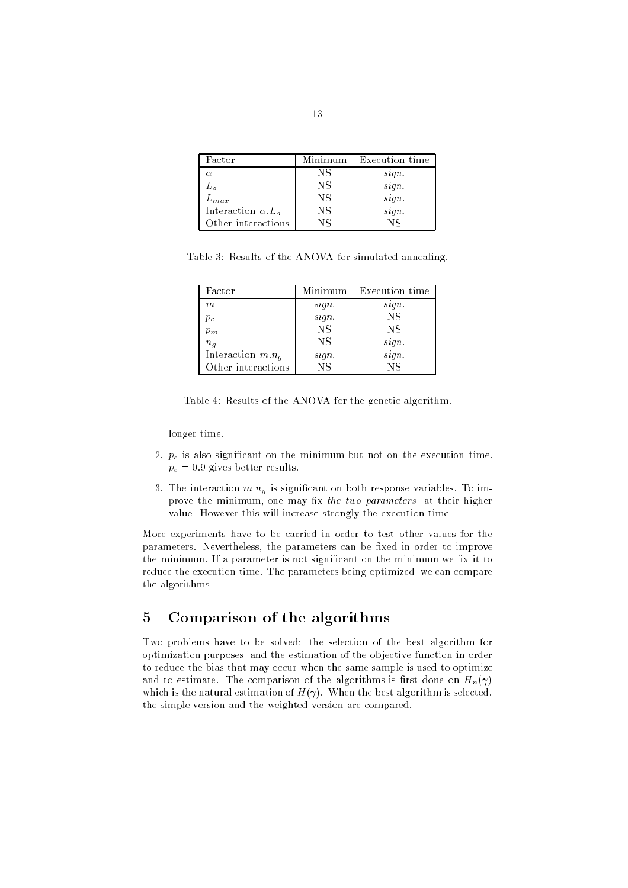| Factor                       | Minimum | Execution time |
|------------------------------|---------|----------------|
| $\alpha$                     | NS      | sign.          |
| $L_a$                        | NS      | sign.          |
| $L_{max}$                    | NS      | sign.          |
| Interaction $\alpha$ . $L_a$ | NS      | sign.          |
| Other interactions           | NS      | Nς             |

Table 3: Results of the ANOVA for simulated annealing.

| Factor              | Minimum                | Execution time |
|---------------------|------------------------|----------------|
| $\,m$               | sign.                  | sign.          |
| $p_c$               | sign.                  | <b>NS</b>      |
| $p_m$               | <b>NS</b>              | <b>NS</b>      |
| $n_{g}$             | NS                     | sign.          |
| Interaction $m.n_q$ | sign.                  | sign.          |
| Other interactions  | $\overline{\text{NS}}$ | NS             |

|  |  |  |  |  |  |  |  |  |  | Table 4: Results of the ANOVA for the genetic algorithm. |  |
|--|--|--|--|--|--|--|--|--|--|----------------------------------------------------------|--|
|--|--|--|--|--|--|--|--|--|--|----------------------------------------------------------|--|

longer time.

- $2.6$  pc is also significant on the minimum but not on the execution time. The execution time  $\alpha$ pc over gives better results.
- 3. The interaction m:ng is signicant on both response variables. To improve the minimum, one may fix the two parameters at their higher value. However this will increase strongly the execution time.

More experiments have to be carried in order to test other values for the parameters. Nevertheless, the parameters can be fixed in order to improve the minimum. If a parameter is not significant on the minimum we fix it to reduce the execution time. The parameters being optimized, we can compare the algorithms.

## 5 Comparison of the algorithms

Two problems have to be solved: the selection of the best algorithm for optimization purposes, and the estimation of the objective function in order to reduce the bias that may occur when the same sample is used to optimize and to estimate. The comparison of the algorithms is first done on  $H_n(\gamma)$ which is the natural estimation of  $H(\gamma)$ . When the best algorithm is selected, the simple version and the weighted version are compared.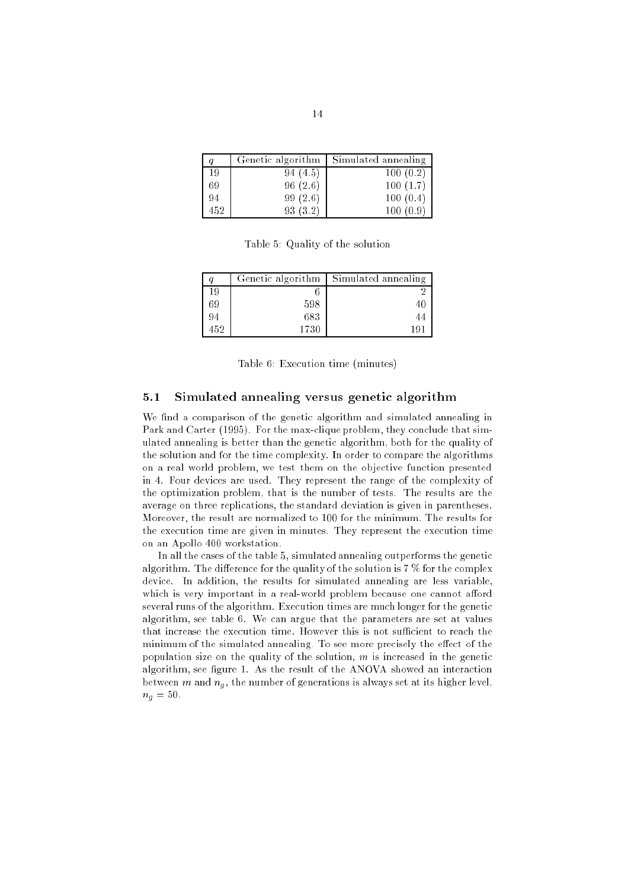|     | Genetic algorithm | Simulated annealing |
|-----|-------------------|---------------------|
| 19  | 94 (4.5)          | 100(0.2)            |
| 69  | 96(2.6)           | 100(1.7)            |
| 94  | 99(2.6)           | 100(0.4)            |
| 452 | (3.2)<br>93.      | -9                  |

Table 5: Quality of the solution

|     | Genetic algorithm | Simulated annealing |
|-----|-------------------|---------------------|
| 19  |                   |                     |
| 69  | 598               | 40                  |
| 94  | 683               | 44                  |
| 452 | 1730              | 19,                 |

Table 6: Execution time (minutes)

### 5.1 Simulated annealing versus genetic algorithm

We find a comparison of the genetic algorithm and simulated annealing in Park and Carter (1995). For the max-clique problem, they conclude that simulated annealing is better than the genetic algorithm, both for the quality of the solution and for the time complexity. In order to compare the algorithms on a real world problem, we test them on the objective function presented in 4. Four devices are used. They represent the range of the complexity of the optimization problem, that is the number of tests. The results are the average on three replications, the standard deviation is given in parentheses. Moreover, the result are normalized to 100 for the minimum. The results for the execution time are given in minutes. They represent the execution time on an Apollo 400 workstation.

In all the cases of the table 5, simulated annealing outperforms the genetic algorithm. The difference for the quality of the solution is  $7\%$  for the complex device. In addition, the results for simulated annealing are less variable, which is very important in a real-world problem because one cannot afford several runs of the algorithm. Execution times are much longer for the genetic algorithm, see table 6. We can argue that the parameters are set at values that increase the execution time. However this is not sufficient to reach the minimum of the simulated annealing. To see more precisely the effect of the population size on the quality of the solution,  $m$  is increased in the genetic algorithm, see figure 1. As the result of the ANOVA showed an interaction between m and ng , the number of generations is always set at its higher level, ng = 50.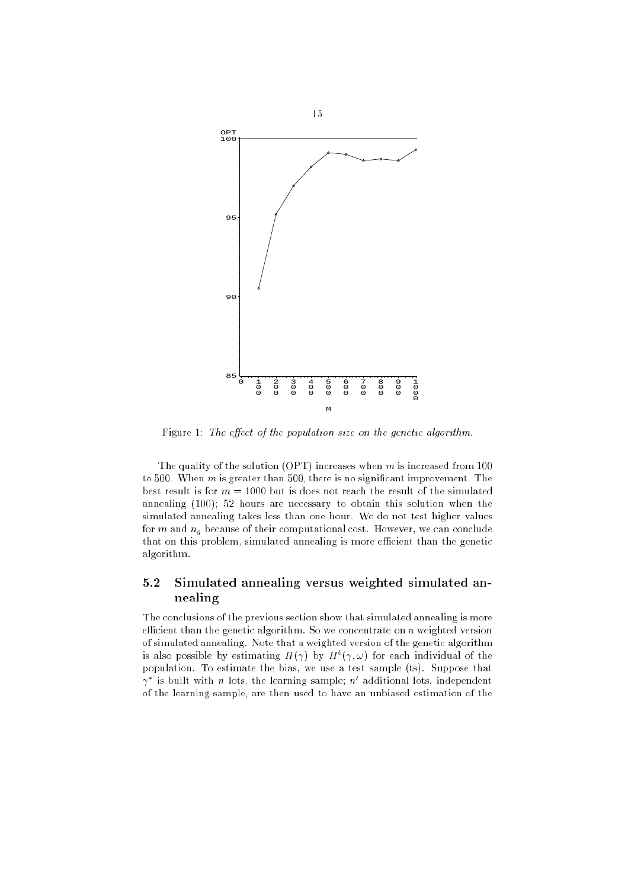

Figure 1: The effect of the population size on the genetic algorithm.

The quality of the solution (OPT) increases when  $m$  is increased from 100 to 500. When  $m$  is greater than 500, there is no significant improvement. The best result is for  $m = 1000$  but is does not reach the result of the simulated annealing (100); 52 hours are necessary to obtain this solution when the simulated annealing takes less than one hour. We do not test higher values for m and ng because of their computational cost. However, we can conclude that on this problem, simulated annealing is more efficient than the genetic algorithm.

## 5.2 Simulated annealing versus weighted simulated annealing

The conclusions of the previous section show that simulated annealing is more efficient than the genetic algorithm. So we concentrate on a weighted version of simulated annealing. Note that a weighted version of the genetic algorithm is also possible by estimating  $H(\gamma)$  by  $H^*(\gamma,\omega)$  for each individual of the population. To estimate the bias, we use a test sample (ts). Suppose that  $\gamma$  is built with n lots, the learning sample; n additional lots, independent of the learning sample, are then used to have an unbiased estimation of the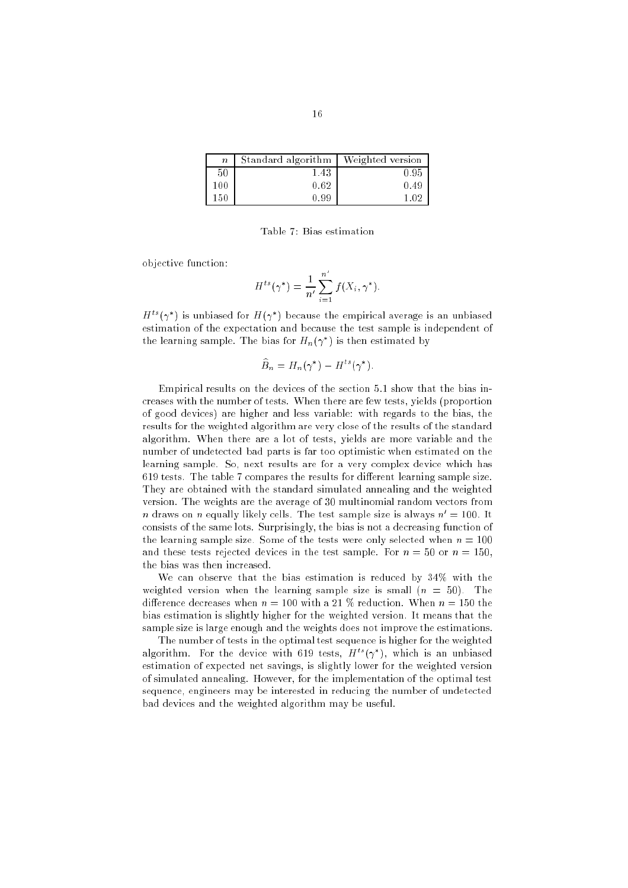| $\boldsymbol{n}$ | Standard algorithm | Weighted version |
|------------------|--------------------|------------------|
| 50               | 1.43               | 0.95             |
| 100              | 0.62               | 0.49             |
| 150              | 0.99               | 1.02             |

Table 7: Bias estimation

objective function:

$$
H^{ts}(\gamma^*) = \frac{1}{n'} \sum_{i=1}^{n'} f(X_i, \gamma^*).
$$

 $H^+(\gamma^-)$  is unbiased for  $H(\gamma^-)$  because the empirical average is an unbiased estimation of the expectation and because the test sample is independent of the learning sample. The bias for  $H_n(\gamma)$  is then estimated by

$$
\widehat{B}_n = H_n(\gamma^*) - H^{ts}(\gamma^*).
$$

Empirical results on the devices of the section 5.1 show that the bias increases with the number of tests. When there are few tests, yields (proportion of good devices) are higher and less variable: with regards to the bias, the results for the weighted algorithm are very close of the results of the standard algorithm. When there are a lot of tests, yields are more variable and the number of undetected bad parts is far too optimistic when estimated on the learning sample. So, next results are for a very complex device which has  $619$  tests. The table 7 compares the results for different learning sample size. They are obtained with the standard simulated annealing and the weighted version. The weights are the average of 30 multinomial random vectors from n draws on n equally likely cells. The test sample size is always  $n' = 100$ . It consists of the same lots. Surprisingly, the bias is not a decreasing function of the learning sample size. Some of the tests were only selected when  $n = 100$ and these tests rejected devices in the test sample. For  $n = 50$  or  $n = 150$ , the bias was then increased.

We can observe that the bias estimation is reduced by 34% with the weighted version when the learning sample size is small  $(n = 50)$ . The difference decreases when  $n = 100$  with a 21 % reduction. When  $n = 150$  the bias estimation is slightly higher for the weighted version. It means that the sample size is large enough and the weights does not improve the estimations.

The number of tests in the optimal test sequence is higher for the weighted algorithm. For the device with 619 tests,  $H^+( \gamma^-)$ , which is an unbiased estimation of expected net savings, is slightly lower for the weighted version of simulated annealing. However, for the implementation of the optimal test sequence, engineers may be interested in reducing the number of undetected bad devices and the weighted algorithm may be useful.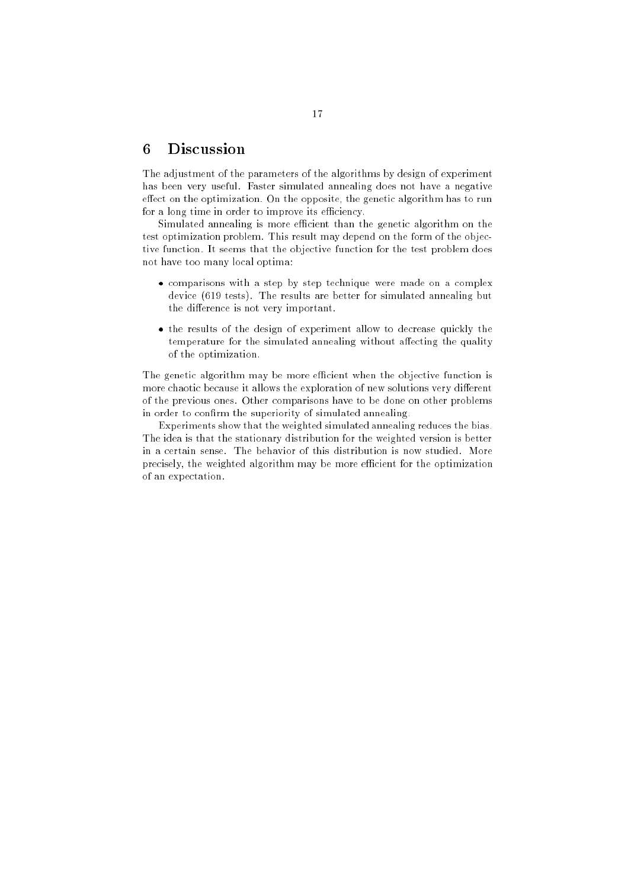#### 6 **Discussion**

The adjustment of the parameters of the algorithms by design of experiment has been very useful. Faster simulated annealing does not have a negative effect on the optimization. On the opposite, the genetic algorithm has to run for a long time in order to improve its efficiency.

Simulated annealing is more efficient than the genetic algorithm on the test optimization problem. This result may depend on the form of the objective function. It seems that the objective function for the test problem does not have too many local optima:

- comparisons with a step by step technique were made on a complex device (619 tests). The results are better for simulated annealing but the difference is not very important.
- the results of the design of experiment allow to decrease quickly the temperature for the simulated annealing without affecting the quality of the optimization.

The genetic algorithm may be more efficient when the objective function is more chaotic because it allows the exploration of new solutions very different of the previous ones. Other comparisons have to be done on other problems in order to confirm the superiority of simulated annealing.

Experiments show that the weighted simulated annealing reduces the bias. The idea is that the stationary distribution for the weighted version is better in a certain sense. The behavior of this distribution is now studied. More precisely, the weighted algorithm may be more efficient for the optimization of an expectation.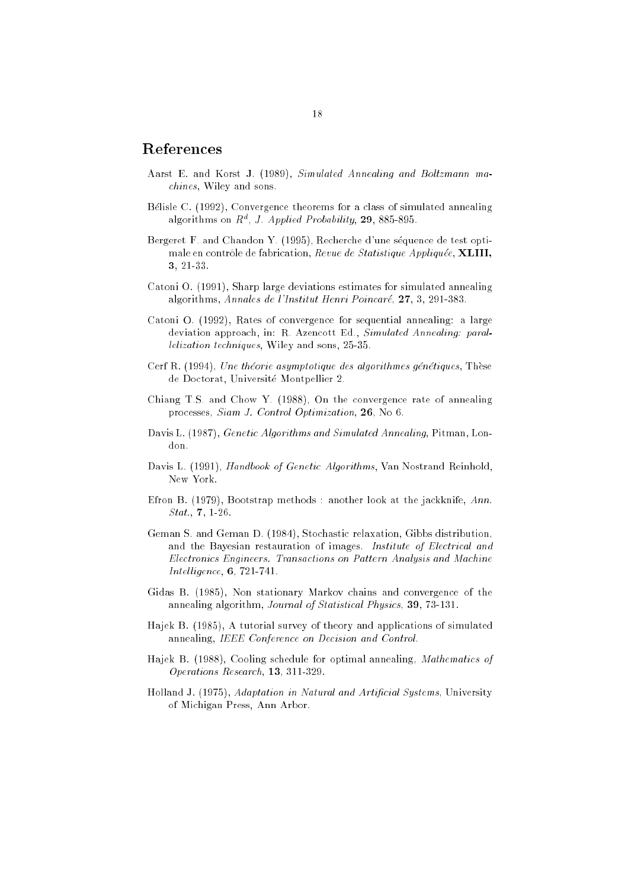## References

- Aarst E. and Korst J. (1989), Simulated Annealing and Boltzmann machines, Wiley and sons.
- Belisle C. (1992), Convergence theorems for a class of simulated annealing algorithms on  $R^a$ , *J. Applied Probability*, 29, 885-895.
- Bergeret F. and Chandon Y. (1995), Recherche d'une séquence de test optimale en contrôle de fabrication, Revue de Statistique Appliquée, XLIII, 3, 21-33.
- Catoni O. (1991), Sharp large deviations estimates for simulated annealing algorithms, Annales de l'Institut Henri Poincare, 27, 3, 291-383.
- Catoni O. (1992), Rates of convergence for sequential annealing: a large deviation approach, in: R. Azencott Ed., Simulated Annealing: parallelization techniques, Wiley and sons, 25-35.
- Cerf R. (1994), Une théorie asymptotique des algorithmes génétiques, Thèse de Doctorat, Universite Montpellier 2.
- Chiang T.S. and Chow Y. (1988), On the convergence rate of annealing processes, Siam J. Control Optimization, 26, No 6.
- Davis L. (1987), Genetic Algorithms and Simulated Annealing, Pitman, London.
- Davis L. (1991), Handbook of Genetic Algorithms, Van Nostrand Reinhold, New York.
- Efron B. (1979), Bootstrap methods : another look at the jackknife, Ann. Stat., 7, 1-26.
- Geman S. and Geman D. (1984), Stochastic relaxation, Gibbs distribution, and the Bayesian restauration of images. Institute of Electrical and Electronics Engineers. Transactions on Pattern Analysis and Machine  $Intelligence, 6, 721-741.$
- Gidas B. (1985), Non stationary Markov chains and convergence of the annealing algorithm, Journal of Statistical Physics, 39, 73-131.
- Hajek B. (1985), A tutorial survey of theory and applications of simulated annealing, IEEE Conference on Decision and Control.
- Hajek B. (1988), Cooling schedule for optimal annealing, Mathematics of Operations Research, 13, 311-329.
- Holland J. (1975), Adaptation in Natural and Artificial Systems, University of Michigan Press, Ann Arbor.